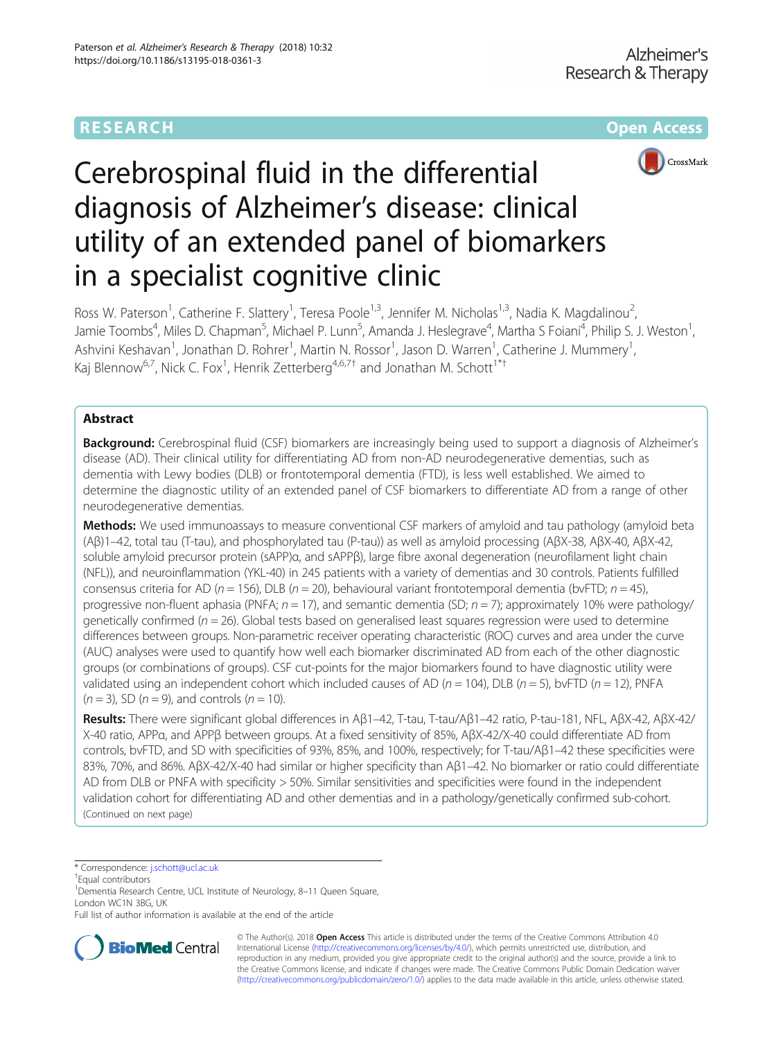# RESEARCH **RESEARCH CONSUMING THE CONSUMING THE CONSUMING THE CONSUMING TEAM Open Access**



# Cerebrospinal fluid in the differential diagnosis of Alzheimer's disease: clinical utility of an extended panel of biomarkers in a specialist cognitive clinic

Ross W. Paterson<sup>1</sup>, Catherine F. Slattery<sup>1</sup>, Teresa Poole<sup>1,3</sup>, Jennifer M. Nicholas<sup>1,3</sup>, Nadia K. Magdalinou<sup>2</sup> , Jamie Toombs<sup>4</sup>, Miles D. Chapman<sup>5</sup>, Michael P. Lunn<sup>5</sup>, Amanda J. Heslegrave<sup>4</sup>, Martha S Foiani<sup>4</sup>, Philip S. J. Weston<sup>1</sup> , Ashvini Keshavan<sup>1</sup>, Jonathan D. Rohrer<sup>1</sup>, Martin N. Rossor<sup>1</sup>, Jason D. Warren<sup>1</sup>, Catherine J. Mummery<sup>1</sup> , Kaj Blennow<sup>6,7</sup>, Nick C. Fox<sup>1</sup>, Henrik Zetterberg<sup>4,6,7†</sup> and Jonathan M. Schott<sup>1\*†</sup>

# Abstract

**Background:** Cerebrospinal fluid (CSF) biomarkers are increasingly being used to support a diagnosis of Alzheimer's disease (AD). Their clinical utility for differentiating AD from non-AD neurodegenerative dementias, such as dementia with Lewy bodies (DLB) or frontotemporal dementia (FTD), is less well established. We aimed to determine the diagnostic utility of an extended panel of CSF biomarkers to differentiate AD from a range of other neurodegenerative dementias.

Methods: We used immunoassays to measure conventional CSF markers of amyloid and tau pathology (amyloid beta (Aβ)1–42, total tau (T-tau), and phosphorylated tau (P-tau)) as well as amyloid processing (AβX-38, AβX-40, AβX-42, soluble amyloid precursor protein (sAPP)α, and sAPPβ), large fibre axonal degeneration (neurofilament light chain (NFL)), and neuroinflammation (YKL-40) in 245 patients with a variety of dementias and 30 controls. Patients fulfilled consensus criteria for AD ( $n = 156$ ), DLB ( $n = 20$ ), behavioural variant frontotemporal dementia (bvFTD;  $n = 45$ ), progressive non-fluent aphasia (PNFA;  $n = 17$ ), and semantic dementia (SD;  $n = 7$ ); approximately 10% were pathology/ genetically confirmed ( $n = 26$ ). Global tests based on generalised least squares regression were used to determine differences between groups. Non-parametric receiver operating characteristic (ROC) curves and area under the curve (AUC) analyses were used to quantify how well each biomarker discriminated AD from each of the other diagnostic groups (or combinations of groups). CSF cut-points for the major biomarkers found to have diagnostic utility were validated using an independent cohort which included causes of AD ( $n = 104$ ), DLB ( $n = 5$ ), bvFTD ( $n = 12$ ), PNFA  $(n = 3)$ , SD  $(n = 9)$ , and controls  $(n = 10)$ .

Results: There were significant global differences in Aβ1-42, T-tau, T-tau/Aβ1-42 ratio, P-tau-181, NFL, AβX-42, AβX-42/ X-40 ratio, APPα, and APPβ between groups. At a fixed sensitivity of 85%, AβX-42/X-40 could differentiate AD from controls, bvFTD, and SD with specificities of 93%, 85%, and 100%, respectively; for T-tau/Aβ1–42 these specificities were 83%, 70%, and 86%. AβX-42/X-40 had similar or higher specificity than Aβ1–42. No biomarker or ratio could differentiate AD from DLB or PNFA with specificity > 50%. Similar sensitivities and specificities were found in the independent validation cohort for differentiating AD and other dementias and in a pathology/genetically confirmed sub-cohort. (Continued on next page)

\* Correspondence: [j.schott@ucl.ac.uk](mailto:j.schott@ucl.ac.uk) †

Equal contributors

<sup>1</sup> Dementia Research Centre, UCL Institute of Neurology, 8-11 Queen Square, London WC1N 3BG, UK

Full list of author information is available at the end of the article



© The Author(s). 2018 Open Access This article is distributed under the terms of the Creative Commons Attribution 4.0 International License [\(http://creativecommons.org/licenses/by/4.0/](http://creativecommons.org/licenses/by/4.0/)), which permits unrestricted use, distribution, and reproduction in any medium, provided you give appropriate credit to the original author(s) and the source, provide a link to the Creative Commons license, and indicate if changes were made. The Creative Commons Public Domain Dedication waiver [\(http://creativecommons.org/publicdomain/zero/1.0/](http://creativecommons.org/publicdomain/zero/1.0/)) applies to the data made available in this article, unless otherwise stated.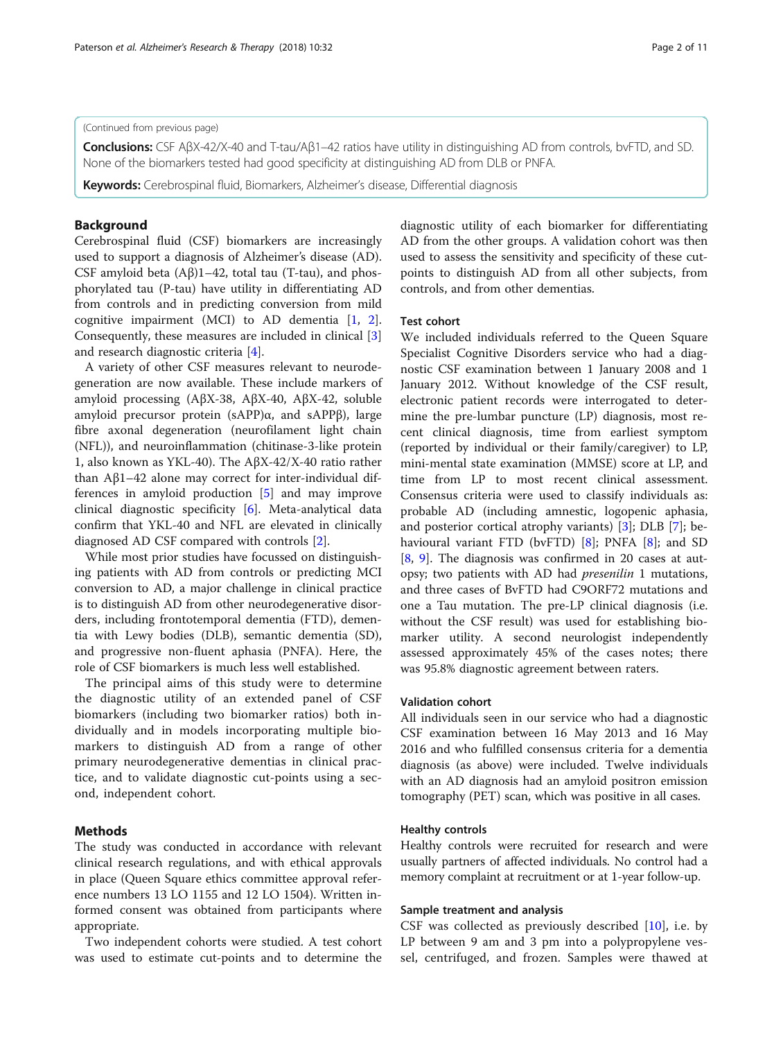# (Continued from previous page)

Conclusions: CSF AβX-42/X-40 and T-tau/Aβ1–42 ratios have utility in distinguishing AD from controls, bvFTD, and SD. None of the biomarkers tested had good specificity at distinguishing AD from DLB or PNFA.

Keywords: Cerebrospinal fluid, Biomarkers, Alzheimer's disease, Differential diagnosis

# Background

Cerebrospinal fluid (CSF) biomarkers are increasingly used to support a diagnosis of Alzheimer's disease (AD). CSF amyloid beta  $(A\beta)1-42$ , total tau (T-tau), and phosphorylated tau (P-tau) have utility in differentiating AD from controls and in predicting conversion from mild cognitive impairment (MCI) to AD dementia [\[1,](#page-9-0) [2](#page-9-0)]. Consequently, these measures are included in clinical [\[3](#page-9-0)] and research diagnostic criteria [[4\]](#page-9-0).

A variety of other CSF measures relevant to neurodegeneration are now available. These include markers of amyloid processing (AβX-38, AβX-40, AβX-42, soluble amyloid precursor protein (sAPP)α, and sAPPβ), large fibre axonal degeneration (neurofilament light chain (NFL)), and neuroinflammation (chitinase-3-like protein 1, also known as YKL-40). The AβX-42/X-40 ratio rather than Aβ1–42 alone may correct for inter-individual differences in amyloid production [[5](#page-9-0)] and may improve clinical diagnostic specificity [\[6](#page-9-0)]. Meta-analytical data confirm that YKL-40 and NFL are elevated in clinically diagnosed AD CSF compared with controls [[2\]](#page-9-0).

While most prior studies have focussed on distinguishing patients with AD from controls or predicting MCI conversion to AD, a major challenge in clinical practice is to distinguish AD from other neurodegenerative disorders, including frontotemporal dementia (FTD), dementia with Lewy bodies (DLB), semantic dementia (SD), and progressive non-fluent aphasia (PNFA). Here, the role of CSF biomarkers is much less well established.

The principal aims of this study were to determine the diagnostic utility of an extended panel of CSF biomarkers (including two biomarker ratios) both individually and in models incorporating multiple biomarkers to distinguish AD from a range of other primary neurodegenerative dementias in clinical practice, and to validate diagnostic cut-points using a second, independent cohort.

# Methods

The study was conducted in accordance with relevant clinical research regulations, and with ethical approvals in place (Queen Square ethics committee approval reference numbers 13 LO 1155 and 12 LO 1504). Written informed consent was obtained from participants where appropriate.

Two independent cohorts were studied. A test cohort was used to estimate cut-points and to determine the diagnostic utility of each biomarker for differentiating AD from the other groups. A validation cohort was then used to assess the sensitivity and specificity of these cutpoints to distinguish AD from all other subjects, from controls, and from other dementias.

# Test cohort

We included individuals referred to the Queen Square Specialist Cognitive Disorders service who had a diagnostic CSF examination between 1 January 2008 and 1 January 2012. Without knowledge of the CSF result, electronic patient records were interrogated to determine the pre-lumbar puncture (LP) diagnosis, most recent clinical diagnosis, time from earliest symptom (reported by individual or their family/caregiver) to LP, mini-mental state examination (MMSE) score at LP, and time from LP to most recent clinical assessment. Consensus criteria were used to classify individuals as: probable AD (including amnestic, logopenic aphasia, and posterior cortical atrophy variants) [\[3](#page-9-0)]; DLB [[7\]](#page-9-0); behavioural variant FTD (bvFTD) [\[8](#page-9-0)]; PNFA [\[8](#page-9-0)]; and SD [[8,](#page-9-0) [9\]](#page-9-0). The diagnosis was confirmed in 20 cases at autopsy; two patients with AD had *presenilin* 1 mutations, and three cases of BvFTD had C9ORF72 mutations and one a Tau mutation. The pre-LP clinical diagnosis (i.e. without the CSF result) was used for establishing biomarker utility. A second neurologist independently assessed approximately 45% of the cases notes; there was 95.8% diagnostic agreement between raters.

# Validation cohort

All individuals seen in our service who had a diagnostic CSF examination between 16 May 2013 and 16 May 2016 and who fulfilled consensus criteria for a dementia diagnosis (as above) were included. Twelve individuals with an AD diagnosis had an amyloid positron emission tomography (PET) scan, which was positive in all cases.

# Healthy controls

Healthy controls were recruited for research and were usually partners of affected individuals. No control had a memory complaint at recruitment or at 1-year follow-up.

# Sample treatment and analysis

CSF was collected as previously described [\[10](#page-9-0)], i.e. by LP between 9 am and 3 pm into a polypropylene vessel, centrifuged, and frozen. Samples were thawed at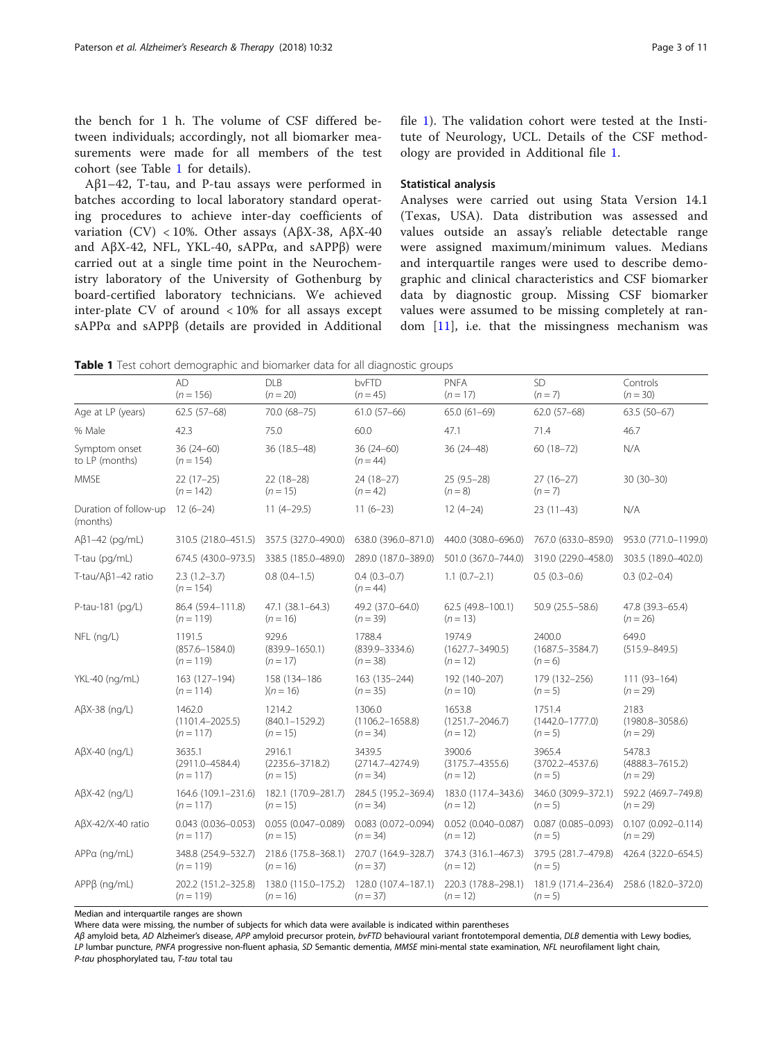<span id="page-2-0"></span>the bench for 1 h. The volume of CSF differed between individuals; accordingly, not all biomarker measurements were made for all members of the test cohort (see Table 1 for details).

Aβ1–42, T-tau, and P-tau assays were performed in batches according to local laboratory standard operating procedures to achieve inter-day coefficients of variation (CV) < 10%. Other assays (AβX-38, AβX-40 and AβX-42, NFL, YKL-40, sAPPα, and sAPPβ) were carried out at a single time point in the Neurochemistry laboratory of the University of Gothenburg by board-certified laboratory technicians. We achieved inter-plate CV of around < 10% for all assays except sAPPα and sAPPβ (details are provided in Additional file [1\)](#page-8-0). The validation cohort were tested at the Institute of Neurology, UCL. Details of the CSF methodology are provided in Additional file [1.](#page-8-0)

# Statistical analysis

Analyses were carried out using Stata Version 14.1 (Texas, USA). Data distribution was assessed and values outside an assay's reliable detectable range were assigned maximum/minimum values. Medians and interquartile ranges were used to describe demographic and clinical characteristics and CSF biomarker data by diagnostic group. Missing CSF biomarker values were assumed to be missing completely at random  $[11]$  $[11]$ , i.e. that the missingness mechanism was

| Table 1 Test cohort demographic and biomarker data for all diagnostic groups |  |
|------------------------------------------------------------------------------|--|
|------------------------------------------------------------------------------|--|

|                                   | <b>AD</b><br>$(n = 156)$                     | <b>DLB</b><br>$(n = 20)$                    | bvFTD<br>$(n = 45)$                         | <b>PNFA</b><br>$(n = 17)$                   | <b>SD</b><br>$(n = 7)$                     | Controls<br>$(n = 30)$                      |
|-----------------------------------|----------------------------------------------|---------------------------------------------|---------------------------------------------|---------------------------------------------|--------------------------------------------|---------------------------------------------|
| Age at LP (years)                 | $62.5(57-68)$                                | 70.0 (68-75)                                | $61.0(57-66)$                               | $65.0(61-69)$                               | $62.0(57-68)$                              | $63.5(50-67)$                               |
| % Male                            | 42.3                                         | 75.0                                        | 60.0                                        | 47.1                                        | 71.4                                       | 46.7                                        |
| Symptom onset<br>to LP (months)   | $36(24-60)$<br>$(n = 154)$                   | 36 (18.5-48)                                | $36(24-60)$<br>$(n = 44)$                   | $36(24 - 48)$                               | $60(18-72)$                                | N/A                                         |
| <b>MMSE</b>                       | $22(17-25)$<br>$(n = 142)$                   | $22(18-28)$<br>$(n = 15)$                   | $24(18-27)$<br>$(n = 42)$                   | $25(9.5-28)$<br>$(n = 8)$                   | $27(16-27)$<br>$(n=7)$                     | $30(30-30)$                                 |
| Duration of follow-up<br>(months) | $12(6-24)$                                   | $11(4-29.5)$                                | $11(6-23)$                                  | $12(4-24)$                                  | $23(11-43)$                                | N/A                                         |
| $A\beta$ 1-42 (pg/mL)             | 310.5 (218.0-451.5)                          | 357.5 (327.0-490.0)                         | 638.0 (396.0-871.0)                         | 440.0 (308.0-696.0)                         | 767.0 (633.0-859.0)                        | 953.0 (771.0-1199.0)                        |
| T-tau (pg/mL)                     | 674.5 (430.0-973.5)                          | 338.5 (185.0-489.0)                         | 289.0 (187.0-389.0)                         | 501.0 (367.0-744.0)                         | 319.0 (229.0-458.0)                        | 303.5 (189.0-402.0)                         |
| T-tau/Aβ1-42 ratio                | $2.3(1.2-3.7)$<br>$(n = 154)$                | $0.8(0.4-1.5)$                              | $0.4(0.3-0.7)$<br>$(n = 44)$                | $1.1(0.7-2.1)$                              | $0.5(0.3-0.6)$                             | $0.3(0.2 - 0.4)$                            |
| P-tau-181 (pg/L)                  | 86.4 (59.4-111.8)<br>$(n = 119)$             | 47.1 (38.1-64.3)<br>$(n = 16)$              | 49.2 (37.0-64.0)<br>$(n = 39)$              | 62.5 (49.8-100.1)<br>$(n = 13)$             | 50.9 (25.5 - 58.6)                         | 47.8 (39.3-65.4)<br>$(n = 26)$              |
| NFL (ng/L)                        | 1191.5<br>$(857.6 - 1584.0)$<br>$(n = 119)$  | 929.6<br>$(839.9 - 1650.1)$<br>$(n = 17)$   | 1788.4<br>$(839.9 - 3334.6)$<br>$(n = 38)$  | 1974.9<br>$(1627.7 - 3490.5)$<br>$(n = 12)$ | 2400.0<br>$(1687.5 - 3584.7)$<br>$(n = 6)$ | 649.0<br>$(515.9 - 849.5)$                  |
| YKL-40 (ng/mL)                    | 163 (127–194)<br>$(n = 114)$                 | 158 (134–186<br>$(n = 16)$                  | 163 (135 - 244)<br>$(n = 35)$               | 192 (140-207)<br>$(n = 10)$                 | 179 (132-256)<br>$(n=5)$                   | $111(93-164)$<br>$(n = 29)$                 |
| $A\beta X-38$ (ng/L)              | 1462.0<br>$(1101.4 - 2025.5)$<br>$(n = 117)$ | 1214.2<br>$(840.1 - 1529.2)$<br>$(n = 15)$  | 1306.0<br>$(1106.2 - 1658.8)$<br>$(n = 34)$ | 1653.8<br>$(1251.7 - 2046.7)$<br>$(n = 12)$ | 1751.4<br>$(1442.0 - 1777.0)$<br>$(n=5)$   | 2183<br>$(1980.8 - 3058.6)$<br>$(n = 29)$   |
| $A\beta X-40$ (ng/L)              | 3635.1<br>$(2911.0 - 4584.4)$<br>$(n = 117)$ | 2916.1<br>$(2235.6 - 3718.2)$<br>$(n = 15)$ | 3439.5<br>$(2714.7 - 4274.9)$<br>$(n = 34)$ | 3900.6<br>$(3175.7 - 4355.6)$<br>$(n = 12)$ | 3965.4<br>$(3702.2 - 4537.6)$<br>$(n = 5)$ | 5478.3<br>$(4888.3 - 7615.2)$<br>$(n = 29)$ |
| $A\beta X-42$ (ng/L)              | 164.6 (109.1-231.6)<br>$(n = 117)$           | 182.1 (170.9-281.7)<br>$(n = 15)$           | 284.5 (195.2-369.4)<br>$(n = 34)$           | 183.0 (117.4-343.6)<br>$(n = 12)$           | 346.0 (309.9-372.1)<br>$(n = 5)$           | 592.2 (469.7-749.8)<br>$(n = 29)$           |
| $A\beta X-42/X-40$ ratio          | $0.043$ $(0.036 - 0.053)$<br>$(n = 117)$     | 0.055 (0.047-0.089)<br>$(n = 15)$           | $0.083(0.072 - 0.094)$<br>$(n = 34)$        | $0.052$ (0.040-0.087)<br>$(n = 12)$         | $0.087(0.085 - 0.093)$<br>$(n=5)$          | $0.107(0.092 - 0.114)$<br>$(n = 29)$        |
| APPa (ng/mL)                      | 348.8 (254.9-532.7)<br>$(n = 119)$           | 218.6 (175.8-368.1)<br>$(n = 16)$           | 270.7 (164.9-328.7)<br>$(n = 37)$           | 374.3 (316.1-467.3)<br>$(n = 12)$           | 379.5 (281.7-479.8)<br>$(n=5)$             | 426.4 (322.0-654.5)                         |
| $APPB$ (ng/mL)                    | 202.2 (151.2-325.8)<br>$(n = 119)$           | 138.0 (115.0-175.2)<br>$(n = 16)$           | 128.0 (107.4-187.1)<br>$(n = 37)$           | 220.3 (178.8-298.1)<br>$(n = 12)$           | 181.9 (171.4-236.4)<br>$(n=5)$             | 258.6 (182.0-372.0)                         |

Median and interquartile ranges are shown

Where data were missing, the number of subjects for which data were available is indicated within parentheses

Aß amyloid beta, AD Alzheimer's disease, APP amyloid precursor protein, bvFTD behavioural variant frontotemporal dementia, DLB dementia with Lewy bodies, LP lumbar puncture, PNFA progressive non-fluent aphasia, SD Semantic dementia, MMSE mini-mental state examination, NFL neurofilament light chain, P-tau phosphorylated tau, T-tau total tau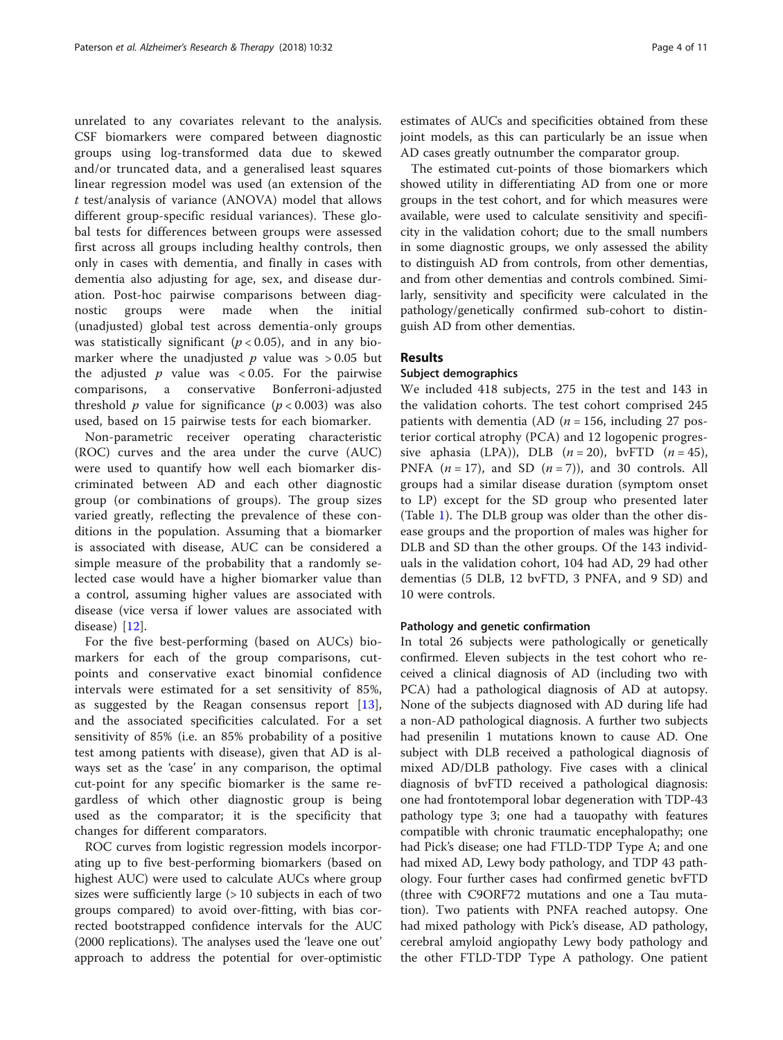unrelated to any covariates relevant to the analysis. CSF biomarkers were compared between diagnostic groups using log-transformed data due to skewed and/or truncated data, and a generalised least squares linear regression model was used (an extension of the t test/analysis of variance (ANOVA) model that allows different group-specific residual variances). These global tests for differences between groups were assessed first across all groups including healthy controls, then only in cases with dementia, and finally in cases with dementia also adjusting for age, sex, and disease duration. Post-hoc pairwise comparisons between diagnostic groups were made when the initial (unadjusted) global test across dementia-only groups was statistically significant ( $p < 0.05$ ), and in any biomarker where the unadjusted  $p$  value was  $> 0.05$  but the adjusted  $p$  value was < 0.05. For the pairwise comparisons, a conservative Bonferroni-adjusted threshold *p* value for significance  $(p < 0.003)$  was also used, based on 15 pairwise tests for each biomarker.

Non-parametric receiver operating characteristic (ROC) curves and the area under the curve (AUC) were used to quantify how well each biomarker discriminated between AD and each other diagnostic group (or combinations of groups). The group sizes varied greatly, reflecting the prevalence of these conditions in the population. Assuming that a biomarker is associated with disease, AUC can be considered a simple measure of the probability that a randomly selected case would have a higher biomarker value than a control, assuming higher values are associated with disease (vice versa if lower values are associated with disease) [\[12](#page-9-0)].

For the five best-performing (based on AUCs) biomarkers for each of the group comparisons, cutpoints and conservative exact binomial confidence intervals were estimated for a set sensitivity of 85%, as suggested by the Reagan consensus report [\[13](#page-9-0)], and the associated specificities calculated. For a set sensitivity of 85% (i.e. an 85% probability of a positive test among patients with disease), given that AD is always set as the 'case' in any comparison, the optimal cut-point for any specific biomarker is the same regardless of which other diagnostic group is being used as the comparator; it is the specificity that changes for different comparators.

ROC curves from logistic regression models incorporating up to five best-performing biomarkers (based on highest AUC) were used to calculate AUCs where group sizes were sufficiently large (> 10 subjects in each of two groups compared) to avoid over-fitting, with bias corrected bootstrapped confidence intervals for the AUC (2000 replications). The analyses used the 'leave one out' approach to address the potential for over-optimistic

estimates of AUCs and specificities obtained from these joint models, as this can particularly be an issue when AD cases greatly outnumber the comparator group.

The estimated cut-points of those biomarkers which showed utility in differentiating AD from one or more groups in the test cohort, and for which measures were available, were used to calculate sensitivity and specificity in the validation cohort; due to the small numbers in some diagnostic groups, we only assessed the ability to distinguish AD from controls, from other dementias, and from other dementias and controls combined. Similarly, sensitivity and specificity were calculated in the pathology/genetically confirmed sub-cohort to distinguish AD from other dementias.

# Results

# Subject demographics

We included 418 subjects, 275 in the test and 143 in the validation cohorts. The test cohort comprised 245 patients with dementia (AD ( $n = 156$ , including 27 posterior cortical atrophy (PCA) and 12 logopenic progressive aphasia (LPA)), DLB  $(n = 20)$ , bvFTD  $(n = 45)$ , PNFA  $(n = 17)$ , and SD  $(n = 7)$ , and 30 controls. All groups had a similar disease duration (symptom onset to LP) except for the SD group who presented later (Table [1\)](#page-2-0). The DLB group was older than the other disease groups and the proportion of males was higher for DLB and SD than the other groups. Of the 143 individuals in the validation cohort, 104 had AD, 29 had other dementias (5 DLB, 12 bvFTD, 3 PNFA, and 9 SD) and 10 were controls.

# Pathology and genetic confirmation

In total 26 subjects were pathologically or genetically confirmed. Eleven subjects in the test cohort who received a clinical diagnosis of AD (including two with PCA) had a pathological diagnosis of AD at autopsy. None of the subjects diagnosed with AD during life had a non-AD pathological diagnosis. A further two subjects had presenilin 1 mutations known to cause AD. One subject with DLB received a pathological diagnosis of mixed AD/DLB pathology. Five cases with a clinical diagnosis of bvFTD received a pathological diagnosis: one had frontotemporal lobar degeneration with TDP-43 pathology type 3; one had a tauopathy with features compatible with chronic traumatic encephalopathy; one had Pick's disease; one had FTLD-TDP Type A; and one had mixed AD, Lewy body pathology, and TDP 43 pathology. Four further cases had confirmed genetic bvFTD (three with C9ORF72 mutations and one a Tau mutation). Two patients with PNFA reached autopsy. One had mixed pathology with Pick's disease, AD pathology, cerebral amyloid angiopathy Lewy body pathology and the other FTLD-TDP Type A pathology. One patient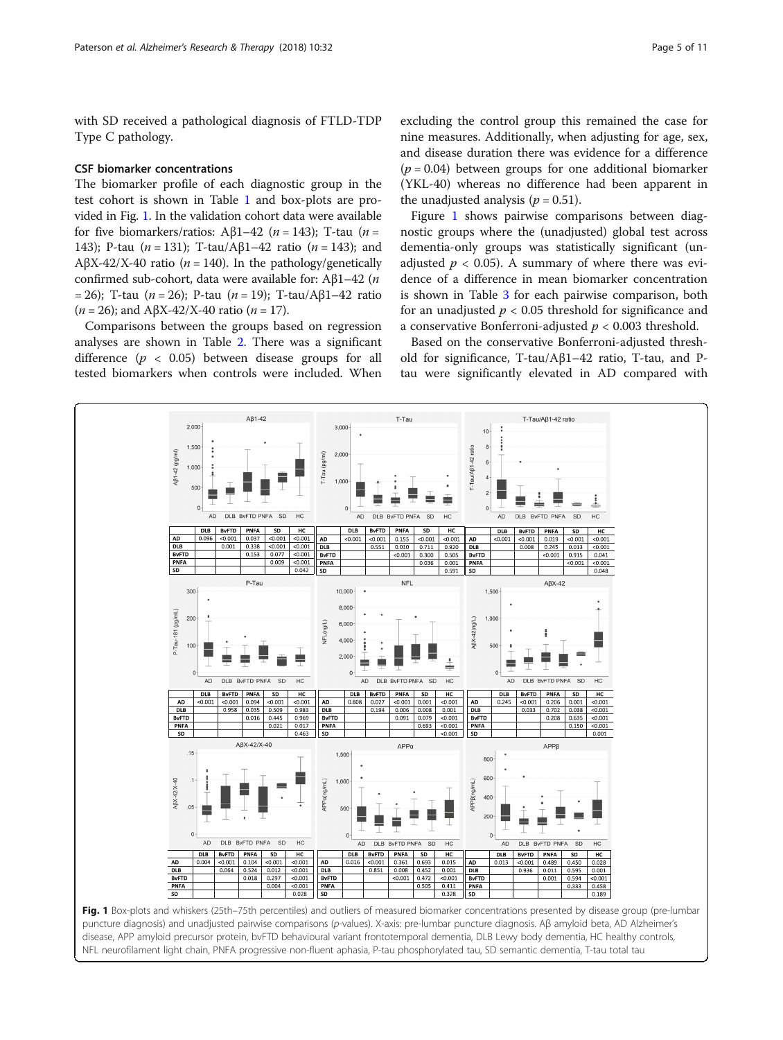<span id="page-4-0"></span>with SD received a pathological diagnosis of FTLD-TDP Type C pathology.

#### CSF biomarker concentrations

The biomarker profile of each diagnostic group in the test cohort is shown in Table [1](#page-2-0) and box-plots are provided in Fig. 1. In the validation cohort data were available for five biomarkers/ratios: Aβ1–42 ( $n = 143$ ); T-tau ( $n =$ 143); P-tau (*n* = 131); T-tau/Aβ1-42 ratio (*n* = 143); and AβX-42/X-40 ratio ( $n = 140$ ). In the pathology/genetically confirmed sub-cohort, data were available for: Aβ1–42 (n = 26); T-tau (*n* = 26); P-tau (*n* = 19); T-tau/Aβ1–42 ratio (*n* = 26); and A $\beta$ X-42/X-40 ratio (*n* = 17).

Comparisons between the groups based on regression analyses are shown in Table [2](#page-5-0). There was a significant difference  $(p < 0.05)$  between disease groups for all tested biomarkers when controls were included. When

 $2,000$ 

 $1,500$ 

1,000

500

Aß1-42 (pg/ml)

AB1-42

excluding the control group this remained the case for nine measures. Additionally, when adjusting for age, sex, and disease duration there was evidence for a difference  $(p = 0.04)$  between groups for one additional biomarker (YKL-40) whereas no difference had been apparent in the unadjusted analysis ( $p = 0.51$ ).

Figure 1 shows pairwise comparisons between diagnostic groups where the (unadjusted) global test across dementia-only groups was statistically significant (unadjusted  $p < 0.05$ ). A summary of where there was evidence of a difference in mean biomarker concentration is shown in Table [3](#page-5-0) for each pairwise comparison, both for an unadjusted  $p < 0.05$  threshold for significance and a conservative Bonferroni-adjusted  $p < 0.003$  threshold.

Based on the conservative Bonferroni-adjusted threshold for significance, T-tau/Aβ1–42 ratio, T-tau, and Ptau were significantly elevated in AD compared with

T-Tau/Aß1-42 ratio

 $10$ 

 $6$ 

-Tau/Aß1-42 ratio



T-Tau

3,000

 $2,000$ 

 $1.000$ 

 $\Omega$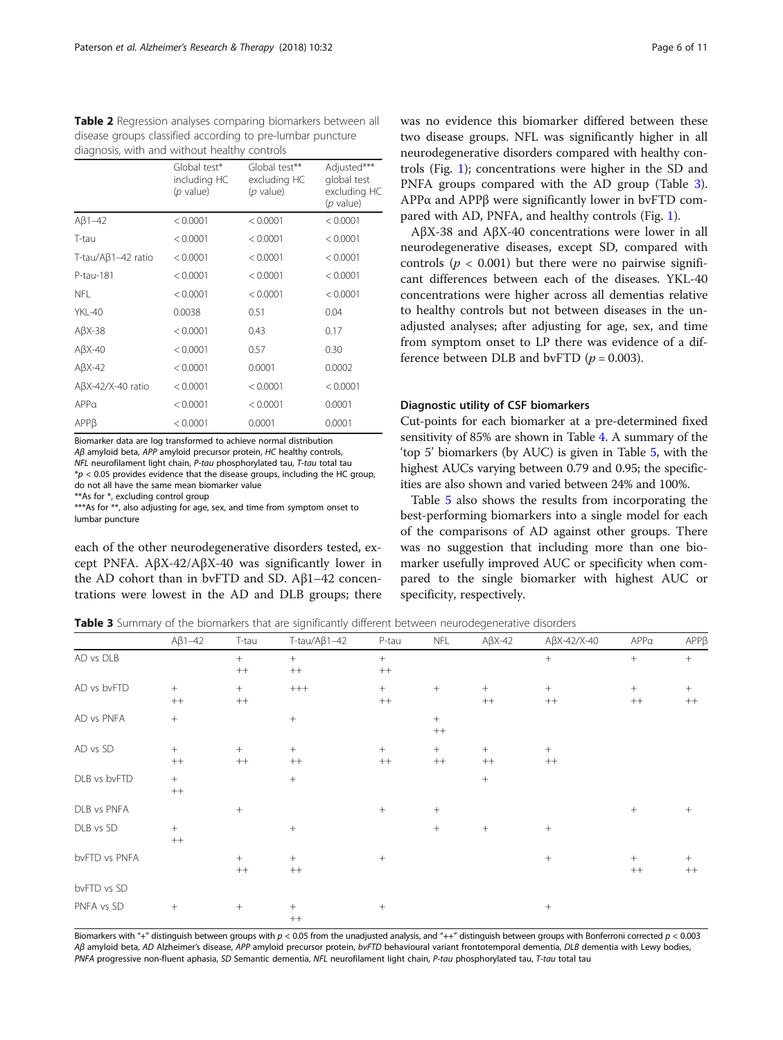<span id="page-5-0"></span>Table 2 Regression analyses comparing biomarkers between all disease groups classified according to pre-lumbar puncture diagnosis, with and without healthy controls

|                            | Global test*<br>including HC<br>(p value) | Global test**<br>excluding HC<br>$(p$ value) | Adjusted***<br>global test<br>excluding HC<br>$(p$ value) |
|----------------------------|-------------------------------------------|----------------------------------------------|-----------------------------------------------------------|
| $A\beta$ 1-42              | < 0.0001                                  | < 0.0001                                     | < 0.0001                                                  |
| T-tau                      | < 0.0001                                  | < 0.0001                                     | < 0.0001                                                  |
| T-tau/A $\beta$ 1-42 ratio | < 0.0001                                  | < 0.0001                                     | < 0.0001                                                  |
| P-tau-181                  | < 0.0001                                  | < 0.0001                                     | < 0.0001                                                  |
| NFL.                       | < 0.0001                                  | < 0.0001                                     | < 0.0001                                                  |
| YKL-40                     | 0.0038                                    | 0.51                                         | 0.04                                                      |
| $A\beta X-38$              | < 0.0001                                  | 0.43                                         | 0.17                                                      |
| $A\beta X-40$              | < 0.0001                                  | 0.57                                         | 0.30                                                      |
| $A\beta X - 42$            | < 0.0001                                  | 0.0001                                       | 0.0002                                                    |
| $A\beta X-42/X-40$ ratio   | < 0.0001                                  | < 0.0001                                     | < 0.0001                                                  |
| APPa                       | < 0.0001                                  | < 0.0001                                     | 0.0001                                                    |
| APPB                       | < 0.0001                                  | 0.0001                                       | 0.0001                                                    |

Biomarker data are log transformed to achieve normal distribution Aβ amyloid beta, APP amyloid precursor protein, HC healthy controls, NFL neurofilament light chain, P-tau phosphorylated tau, T-tau total tau  $*p < 0.05$  provides evidence that the disease groups, including the HC group, do not all have the same mean biomarker value

\*\*As for \*, excluding control group

\*\*\*As for \*\*, also adjusting for age, sex, and time from symptom onset to lumbar puncture

each of the other neurodegenerative disorders tested, except PNFA. AβX-42/AβX-40 was significantly lower in the AD cohort than in bvFTD and SD. Aβ1–42 concentrations were lowest in the AD and DLB groups; there

was no evidence this biomarker differed between these two disease groups. NFL was significantly higher in all neurodegenerative disorders compared with healthy controls (Fig. [1](#page-4-0)); concentrations were higher in the SD and PNFA groups compared with the AD group (Table 3). APPα and APPβ were significantly lower in bvFTD compared with AD, PNFA, and healthy controls (Fig. [1\)](#page-4-0).

AβX-38 and AβX-40 concentrations were lower in all neurodegenerative diseases, except SD, compared with controls ( $p < 0.001$ ) but there were no pairwise significant differences between each of the diseases. YKL-40 concentrations were higher across all dementias relative to healthy controls but not between diseases in the unadjusted analyses; after adjusting for age, sex, and time from symptom onset to LP there was evidence of a difference between DLB and bvFTD  $(p = 0.003)$ .

# Diagnostic utility of CSF biomarkers

Cut-points for each biomarker at a pre-determined fixed sensitivity of 85% are shown in Table [4](#page-6-0). A summary of the 'top 5' biomarkers (by AUC) is given in Table [5,](#page-7-0) with the highest AUCs varying between 0.79 and 0.95; the specificities are also shown and varied between 24% and 100%.

Table [5](#page-7-0) also shows the results from incorporating the best-performing biomarkers into a single model for each of the comparisons of AD against other groups. There was no suggestion that including more than one biomarker usefully improved AUC or specificity when compared to the single biomarker with highest AUC or specificity, respectively.

Table 3 Summary of the biomarkers that are significantly different between neurodegenerative disorders

|               | $A\beta1-42$      | T-tau          | $T-tau/A\beta1-42$ | P-tau            | <b>NFL</b>     | $A\beta X - 42$   | $A\beta X - 42/X - 40$ | APPa           | APPP        |
|---------------|-------------------|----------------|--------------------|------------------|----------------|-------------------|------------------------|----------------|-------------|
| AD vs DLB     |                   | $+$<br>$^{++}$ | $+$<br>$^{++}$     | $+$<br>$^{++}$   |                |                   | $^{+}$                 | $^{+}$         | $^{+}$      |
| AD vs bvFTD   | $^{+}$<br>$++$    | $+$<br>$^{++}$ | $^{+++}$           | $\! +$<br>$++$   | $+$            | $+$<br>$++$       | $+$<br>$^{++}$         | $+$<br>$++$    | $+$<br>$++$ |
| AD vs PNFA    | $+$               |                | $^{+}$             |                  | $+$<br>$^{++}$ |                   |                        |                |             |
| AD vs SD      | $+$<br>$++$       | $+$<br>$++$    | $+$<br>$^{++}$     | $+$<br>$^{++}$   | $+$<br>$^{++}$ | $\! +$<br>$^{++}$ | $+$<br>$^{++}$         |                |             |
| DLB vs bvFTD  | $+$<br>$^{++}\,$  |                | $^{+}$             |                  |                | $\! +$            |                        |                |             |
| DLB vs PNFA   |                   | $+$            |                    | $\boldsymbol{+}$ | $^{+}$         |                   |                        |                | $+$         |
| DLB vs SD     | $^{+}$<br>$^{++}$ |                | $^{+}$             |                  | $+$            | $^{+}$            | $+$                    |                |             |
| bvFTD vs PNFA |                   | $+$<br>$++$    | $+$<br>$^{++}$     | $+$              |                |                   | $+$                    | $^{+}$<br>$++$ | $+$<br>$++$ |
| bvFTD vs SD   |                   |                |                    |                  |                |                   |                        |                |             |
| PNFA vs SD    | $^{+}$            | $^{+}$         | $^{+}$<br>$^{++}$  | $\! + \!\!\!\!$  |                |                   | $\! + \!\!\!\!$        |                |             |

Biomarkers with "+" distinguish between groups with  $p < 0.05$  from the unadjusted analysis, and "++" distinguish between groups with Bonferroni corrected  $p < 0.003$ AB amyloid beta, AD Alzheimer's disease, APP amyloid precursor protein, by FTD behavioural variant frontotemporal dementia, DLB dementia with Lewy bodies, PNFA progressive non-fluent aphasia, SD Semantic dementia, NFL neurofilament light chain, P-tau phosphorylated tau, T-tau total tau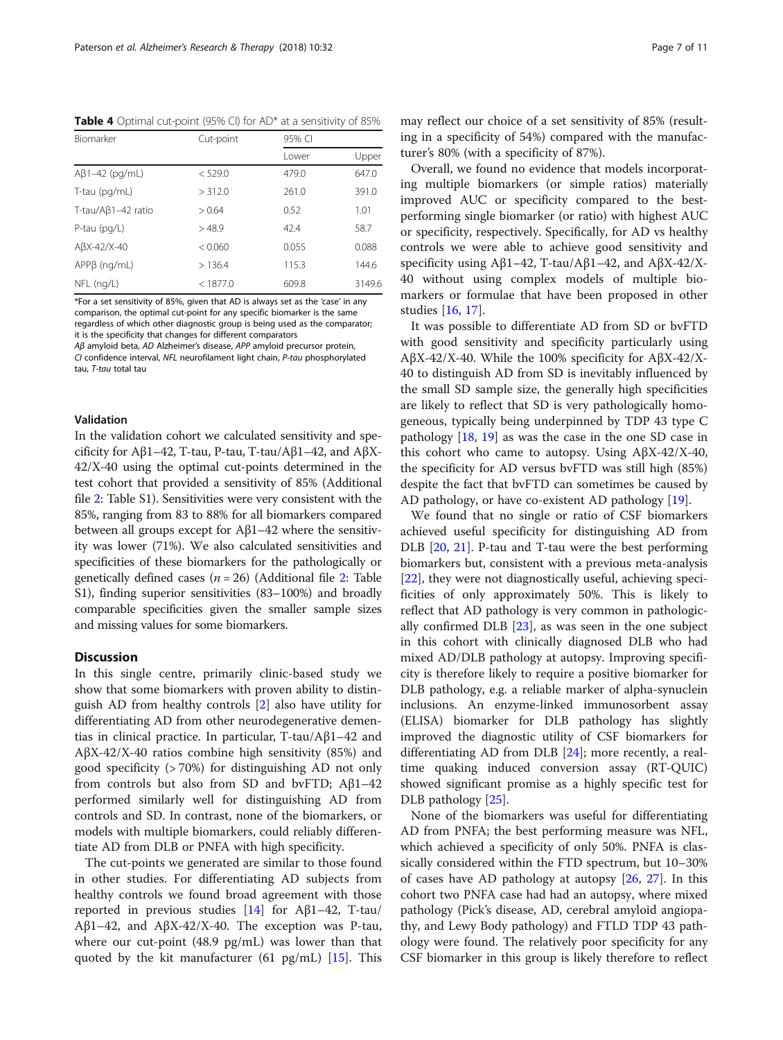<span id="page-6-0"></span>Table 4 Optimal cut-point (95% CI) for AD\* at a sensitivity of 85%

| Biomarker             | Cut-point | 95% CI |        |  |  |
|-----------------------|-----------|--------|--------|--|--|
|                       |           | I ower | Upper  |  |  |
| $A\beta$ 1-42 (pg/mL) | < 529.0   | 479.0  | 647.0  |  |  |
| T-tau (pg/mL)         | > 312.0   | 261.0  | 391.0  |  |  |
| T-tau/Aβ1-42 ratio    | > 0.64    | 0.52   | 1.01   |  |  |
| P-tau $(pq/L)$        | >48.9     | 42.4   | 58.7   |  |  |
| $A\beta X-42/X-40$    | < 0.060   | 0.055  | 0.088  |  |  |
| $APP\beta$ (ng/mL)    | >136.4    | 115.3  | 144.6  |  |  |
| $NFL$ (ng/L)          | < 1877.0  | 609.8  | 3149.6 |  |  |

\*For a set sensitivity of 85%, given that AD is always set as the 'case' in any comparison, the optimal cut-point for any specific biomarker is the same regardless of which other diagnostic group is being used as the comparator; it is the specificity that changes for different comparators

Aβ amyloid beta, AD Alzheimer's disease, APP amyloid precursor protein, CI confidence interval, NFL neurofilament light chain, P-tau phosphorylated tau, T-tau total tau

# Validation

In the validation cohort we calculated sensitivity and specificity for Aβ1–42, T-tau, P-tau, T-tau/Aβ1–42, and AβX-42/X-40 using the optimal cut-points determined in the test cohort that provided a sensitivity of 85% (Additional file [2](#page-8-0): Table S1). Sensitivities were very consistent with the 85%, ranging from 83 to 88% for all biomarkers compared between all groups except for Aβ1–42 where the sensitivity was lower (71%). We also calculated sensitivities and specificities of these biomarkers for the pathologically or genetically defined cases ( $n = 26$  $n = 26$  $n = 26$ ) (Additional file 2: Table S1), finding superior sensitivities (83–100%) and broadly comparable specificities given the smaller sample sizes and missing values for some biomarkers.

# **Discussion**

In this single centre, primarily clinic-based study we show that some biomarkers with proven ability to distinguish AD from healthy controls [\[2](#page-9-0)] also have utility for differentiating AD from other neurodegenerative dementias in clinical practice. In particular, T-tau/Aβ1–42 and AβX-42/X-40 ratios combine high sensitivity (85%) and good specificity (> 70%) for distinguishing AD not only from controls but also from SD and bvFTD; Aβ1–42 performed similarly well for distinguishing AD from controls and SD. In contrast, none of the biomarkers, or models with multiple biomarkers, could reliably differentiate AD from DLB or PNFA with high specificity.

The cut-points we generated are similar to those found in other studies. For differentiating AD subjects from healthy controls we found broad agreement with those reported in previous studies [\[14](#page-9-0)] for  $A\beta1-42$ , T-tau/ Aβ1–42, and AβX-42/X-40. The exception was P-tau, where our cut-point (48.9 pg/mL) was lower than that quoted by the kit manufacturer (61 pg/mL)  $[15]$  $[15]$  $[15]$ . This

may reflect our choice of a set sensitivity of 85% (resulting in a specificity of 54%) compared with the manufacturer's 80% (with a specificity of 87%).

Overall, we found no evidence that models incorporating multiple biomarkers (or simple ratios) materially improved AUC or specificity compared to the bestperforming single biomarker (or ratio) with highest AUC or specificity, respectively. Specifically, for AD vs healthy controls we were able to achieve good sensitivity and specificity using Aβ1–42, T-tau/Aβ1–42, and AβX-42/X-40 without using complex models of multiple biomarkers or formulae that have been proposed in other studies [\[16,](#page-10-0) [17\]](#page-10-0).

It was possible to differentiate AD from SD or bvFTD with good sensitivity and specificity particularly using AβX-42/X-40. While the 100% specificity for AβX-42/X-40 to distinguish AD from SD is inevitably influenced by the small SD sample size, the generally high specificities are likely to reflect that SD is very pathologically homogeneous, typically being underpinned by TDP 43 type C pathology [\[18,](#page-10-0) [19](#page-10-0)] as was the case in the one SD case in this cohort who came to autopsy. Using  $AβX-42/X-40$ , the specificity for AD versus bvFTD was still high (85%) despite the fact that bvFTD can sometimes be caused by AD pathology, or have co-existent AD pathology [\[19\]](#page-10-0).

We found that no single or ratio of CSF biomarkers achieved useful specificity for distinguishing AD from DLB [[20,](#page-10-0) [21](#page-10-0)]. P-tau and T-tau were the best performing biomarkers but, consistent with a previous meta-analysis [[22\]](#page-10-0), they were not diagnostically useful, achieving specificities of only approximately 50%. This is likely to reflect that AD pathology is very common in pathologically confirmed DLB  $[23]$  $[23]$ , as was seen in the one subject in this cohort with clinically diagnosed DLB who had mixed AD/DLB pathology at autopsy. Improving specificity is therefore likely to require a positive biomarker for DLB pathology, e.g. a reliable marker of alpha-synuclein inclusions. An enzyme-linked immunosorbent assay (ELISA) biomarker for DLB pathology has slightly improved the diagnostic utility of CSF biomarkers for differentiating AD from DLB [\[24\]](#page-10-0); more recently, a realtime quaking induced conversion assay (RT-QUIC) showed significant promise as a highly specific test for DLB pathology [\[25](#page-10-0)].

None of the biomarkers was useful for differentiating AD from PNFA; the best performing measure was NFL, which achieved a specificity of only 50%. PNFA is classically considered within the FTD spectrum, but 10–30% of cases have AD pathology at autopsy [\[26,](#page-10-0) [27\]](#page-10-0). In this cohort two PNFA case had had an autopsy, where mixed pathology (Pick's disease, AD, cerebral amyloid angiopathy, and Lewy Body pathology) and FTLD TDP 43 pathology were found. The relatively poor specificity for any CSF biomarker in this group is likely therefore to reflect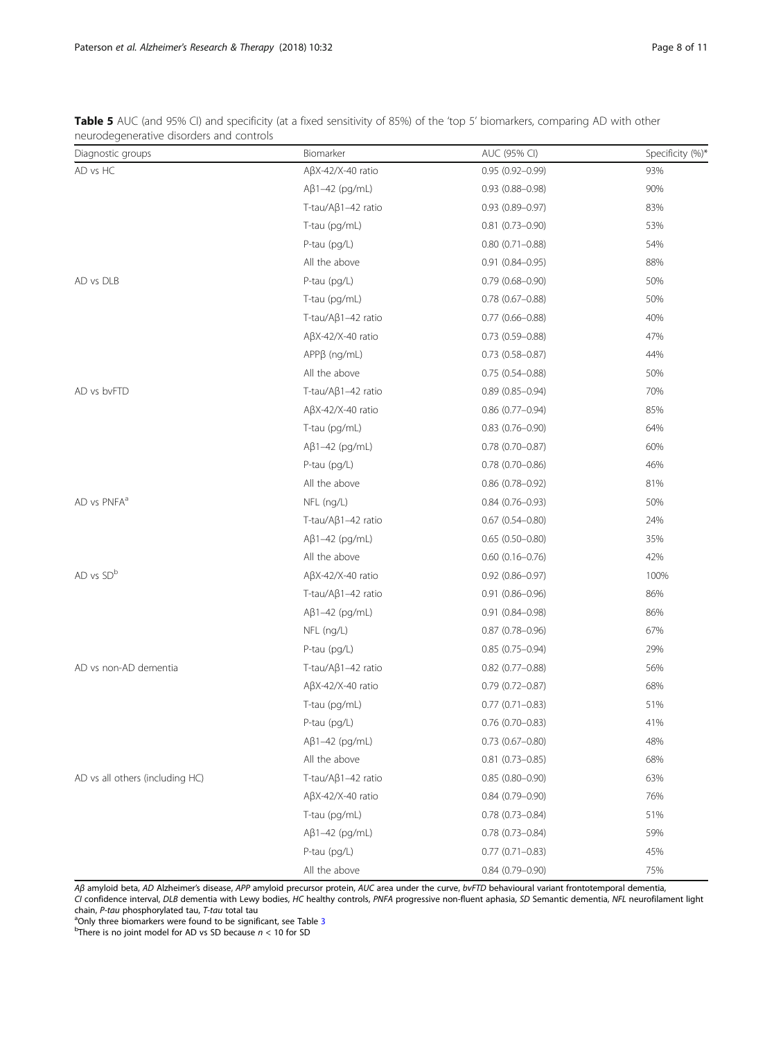<span id="page-7-0"></span>Table 5 AUC (and 95% CI) and specificity (at a fixed sensitivity of 85%) of the 'top 5' biomarkers, comparing AD with other neurodegenerative disorders and controls

| Diagnostic groups               | Biomarker                | AUC (95% CI)           | Specificity (%)* |
|---------------------------------|--------------------------|------------------------|------------------|
| AD vs HC                        | $A\beta X-42/X-40$ ratio | $0.95(0.92 - 0.99)$    | 93%              |
|                                 | $A\beta$ 1-42 (pg/mL)    | $0.93(0.88 - 0.98)$    | 90%              |
|                                 | T-tau/Aβ1-42 ratio       | $0.93(0.89 - 0.97)$    | 83%              |
|                                 | T-tau (pg/mL)            | $0.81$ $(0.73 - 0.90)$ | 53%              |
|                                 | P-tau (pg/L)             | $0.80(0.71 - 0.88)$    | 54%              |
|                                 | All the above            | $0.91(0.84 - 0.95)$    | 88%              |
| AD vs DLB                       | P-tau (pg/L)             | $0.79(0.68 - 0.90)$    | 50%              |
|                                 | T-tau (pg/mL)            | $0.78(0.67 - 0.88)$    | 50%              |
|                                 | T-tau/Aβ1-42 ratio       | $0.77(0.66 - 0.88)$    | 40%              |
|                                 | $A\beta X-42/X-40$ ratio | $0.73$ $(0.59 - 0.88)$ | 47%              |
|                                 | $APP\beta (ng/mL)$       | $0.73$ $(0.58 - 0.87)$ | 44%              |
|                                 | All the above            | $0.75(0.54 - 0.88)$    | 50%              |
| AD vs bvFTD                     | T-tau/Aβ1-42 ratio       | $0.89(0.85 - 0.94)$    | 70%              |
|                                 | $A\beta X-42/X-40$ ratio | $0.86$ (0.77-0.94)     | 85%              |
|                                 | T-tau (pg/mL)            | $0.83$ $(0.76 - 0.90)$ | 64%              |
|                                 | $A\beta$ 1-42 (pg/mL)    | $0.78$ (0.70-0.87)     | 60%              |
|                                 | P-tau (pg/L)             | $0.78$ (0.70-0.86)     | 46%              |
|                                 | All the above            | $0.86$ (0.78-0.92)     | 81%              |
| AD vs PNFA <sup>a</sup>         | NFL (ng/L)               | $0.84(0.76 - 0.93)$    | 50%              |
|                                 | T-tau/Aβ1-42 ratio       | $0.67$ $(0.54 - 0.80)$ | 24%              |
|                                 | $A\beta$ 1-42 (pg/mL)    | $0.65(0.50-0.80)$      | 35%              |
|                                 | All the above            | $0.60$ $(0.16 - 0.76)$ | 42%              |
| AD vs SD <sup>b</sup>           | $A\beta X-42/X-40$ ratio | $0.92$ $(0.86 - 0.97)$ | 100%             |
|                                 | T-tau/Aβ1-42 ratio       | $0.91(0.86 - 0.96)$    | 86%              |
|                                 | $A\beta$ 1-42 (pg/mL)    | $0.91(0.84 - 0.98)$    | 86%              |
|                                 | NFL (ng/L)               | $0.87(0.78 - 0.96)$    | 67%              |
|                                 | P-tau (pg/L)             | $0.85(0.75-0.94)$      | 29%              |
| AD vs non-AD dementia           | T-tau/Aβ1-42 ratio       | $0.82$ (0.77-0.88)     | 56%              |
|                                 | $A\beta X-42/X-40$ ratio | $0.79(0.72 - 0.87)$    | 68%              |
|                                 | T-tau (pg/mL)            | $0.77(0.71 - 0.83)$    | 51%              |
|                                 | P-tau (pg/L)             | $0.76$ (0.70-0.83)     | 41%              |
|                                 | $A\beta1-42$ (pg/mL)     | $0.73$ $(0.67 - 0.80)$ | 48%              |
|                                 | All the above            | $0.81$ (0.73-0.85)     | 68%              |
| AD vs all others (including HC) | T-tau/Aβ1-42 ratio       | $0.85(0.80 - 0.90)$    | 63%              |
|                                 | $A\beta X-42/X-40$ ratio | $0.84(0.79 - 0.90)$    | 76%              |
|                                 | T-tau (pg/mL)            | $0.78(0.73 - 0.84)$    | 51%              |
|                                 | $A\beta$ 1-42 (pg/mL)    | $0.78$ $(0.73 - 0.84)$ | 59%              |
|                                 | P-tau (pg/L)             | $0.77(0.71 - 0.83)$    | 45%              |
|                                 | All the above            | $0.84$ (0.79-0.90)     | 75%              |

Aβ amyloid beta, AD Alzheimer's disease, APP amyloid precursor protein, AUC area under the curve, bvFTD behavioural variant frontotemporal dementia,

CI confidence interval, DLB dementia with Lewy bodies, HC healthy controls, PNFA progressive non-fluent aphasia, SD Semantic dementia, NFL neurofilament light chain,  $P$ -tau phosphorylated tau,  $T$ -tau total tau

<sup>a</sup>Only three biomarkers were found to be significant, see Table [3](#page-5-0)<br><sup>b</sup>There is no joint model for AD vs SD because *n <* 10 for SD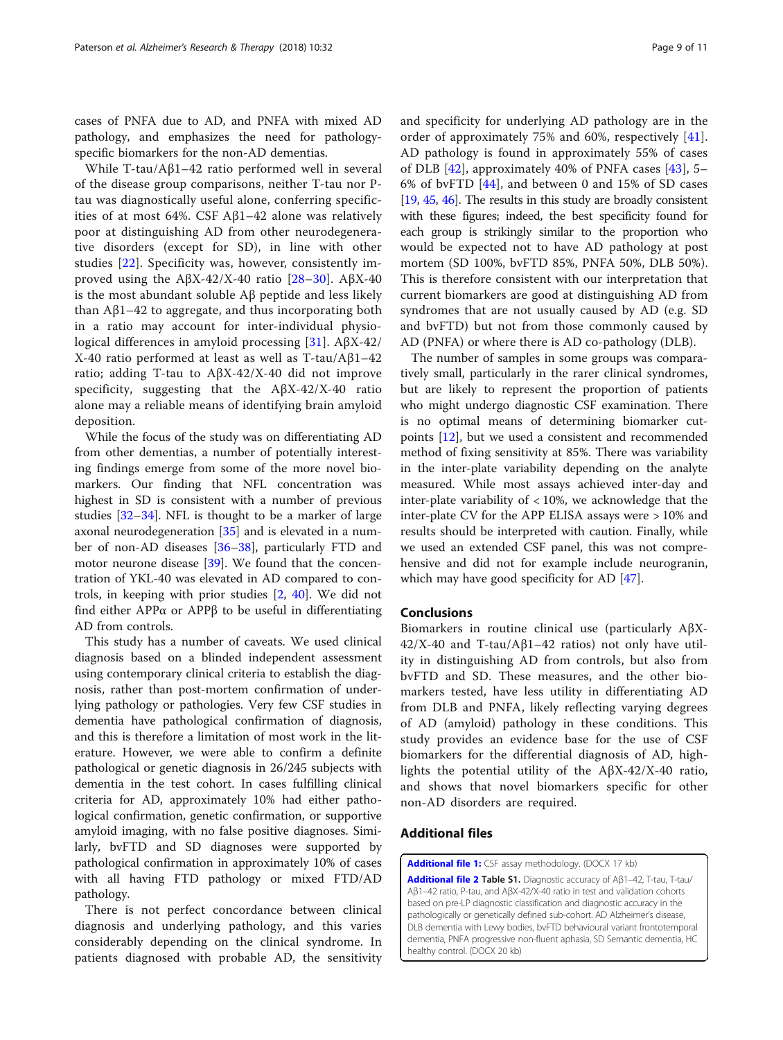<span id="page-8-0"></span>cases of PNFA due to AD, and PNFA with mixed AD pathology, and emphasizes the need for pathologyspecific biomarkers for the non-AD dementias.

While T-tau/Aβ1–42 ratio performed well in several of the disease group comparisons, neither T-tau nor Ptau was diagnostically useful alone, conferring specificities of at most 64%. CSF Aβ1–42 alone was relatively poor at distinguishing AD from other neurodegenerative disorders (except for SD), in line with other studies [[22](#page-10-0)]. Specificity was, however, consistently improved using the AβX-42/X-40 ratio  $[28-30]$  $[28-30]$  $[28-30]$  $[28-30]$  $[28-30]$ . AβX-40 is the most abundant soluble Aβ peptide and less likely than Aβ1–42 to aggregate, and thus incorporating both in a ratio may account for inter-individual physiological differences in amyloid processing [\[31](#page-10-0)]. AβX-42/ X-40 ratio performed at least as well as T-tau/Aβ1–42 ratio; adding T-tau to AβX-42/X-40 did not improve specificity, suggesting that the AβX-42/X-40 ratio alone may a reliable means of identifying brain amyloid deposition.

While the focus of the study was on differentiating AD from other dementias, a number of potentially interesting findings emerge from some of the more novel biomarkers. Our finding that NFL concentration was highest in SD is consistent with a number of previous studies [[32](#page-10-0)–[34](#page-10-0)]. NFL is thought to be a marker of large axonal neurodegeneration [[35](#page-10-0)] and is elevated in a number of non-AD diseases [[36](#page-10-0)–[38](#page-10-0)], particularly FTD and motor neurone disease [[39\]](#page-10-0). We found that the concentration of YKL-40 was elevated in AD compared to controls, in keeping with prior studies [[2,](#page-9-0) [40\]](#page-10-0). We did not find either APPα or APPβ to be useful in differentiating AD from controls.

This study has a number of caveats. We used clinical diagnosis based on a blinded independent assessment using contemporary clinical criteria to establish the diagnosis, rather than post-mortem confirmation of underlying pathology or pathologies. Very few CSF studies in dementia have pathological confirmation of diagnosis, and this is therefore a limitation of most work in the literature. However, we were able to confirm a definite pathological or genetic diagnosis in 26/245 subjects with dementia in the test cohort. In cases fulfilling clinical criteria for AD, approximately 10% had either pathological confirmation, genetic confirmation, or supportive amyloid imaging, with no false positive diagnoses. Similarly, bvFTD and SD diagnoses were supported by pathological confirmation in approximately 10% of cases with all having FTD pathology or mixed FTD/AD pathology.

There is not perfect concordance between clinical diagnosis and underlying pathology, and this varies considerably depending on the clinical syndrome. In patients diagnosed with probable AD, the sensitivity and specificity for underlying AD pathology are in the order of approximately 75% and 60%, respectively [\[41](#page-10-0)]. AD pathology is found in approximately 55% of cases of DLB [[42](#page-10-0)], approximately 40% of PNFA cases [[43](#page-10-0)], 5– 6% of bvFTD [\[44](#page-10-0)], and between 0 and 15% of SD cases [[19](#page-10-0), [45](#page-10-0), [46\]](#page-10-0). The results in this study are broadly consistent with these figures; indeed, the best specificity found for each group is strikingly similar to the proportion who would be expected not to have AD pathology at post mortem (SD 100%, bvFTD 85%, PNFA 50%, DLB 50%). This is therefore consistent with our interpretation that current biomarkers are good at distinguishing AD from syndromes that are not usually caused by AD (e.g. SD and bvFTD) but not from those commonly caused by AD (PNFA) or where there is AD co-pathology (DLB).

The number of samples in some groups was comparatively small, particularly in the rarer clinical syndromes, but are likely to represent the proportion of patients who might undergo diagnostic CSF examination. There is no optimal means of determining biomarker cutpoints [[12\]](#page-9-0), but we used a consistent and recommended method of fixing sensitivity at 85%. There was variability in the inter-plate variability depending on the analyte measured. While most assays achieved inter-day and inter-plate variability of  $< 10\%$ , we acknowledge that the inter-plate CV for the APP ELISA assays were > 10% and results should be interpreted with caution. Finally, while we used an extended CSF panel, this was not comprehensive and did not for example include neurogranin, which may have good specificity for AD [[47](#page-10-0)].

# Conclusions

Biomarkers in routine clinical use (particularly AβX-42/X-40 and T-tau/Aβ1–42 ratios) not only have utility in distinguishing AD from controls, but also from bvFTD and SD. These measures, and the other biomarkers tested, have less utility in differentiating AD from DLB and PNFA, likely reflecting varying degrees of AD (amyloid) pathology in these conditions. This study provides an evidence base for the use of CSF biomarkers for the differential diagnosis of AD, highlights the potential utility of the AβX-42/X-40 ratio, and shows that novel biomarkers specific for other non-AD disorders are required.

# Additional files

[Additional file 1:](https://doi.org/10.1186/s13195-018-0361-3) CSF assay methodology. (DOCX 17 kb)

[Additional file 2](https://doi.org/10.1186/s13195-018-0361-3) Table S1. Diagnostic accuracy of Aβ1–42, T-tau, T-tau/ Aβ1–42 ratio, P-tau, and AβX-42/X-40 ratio in test and validation cohorts based on pre-LP diagnostic classification and diagnostic accuracy in the pathologically or genetically defined sub-cohort. AD Alzheimer's disease, DLB dementia with Lewy bodies, bvFTD behavioural variant frontotemporal dementia, PNFA progressive non-fluent aphasia, SD Semantic dementia, HC healthy control. (DOCX 20 kb)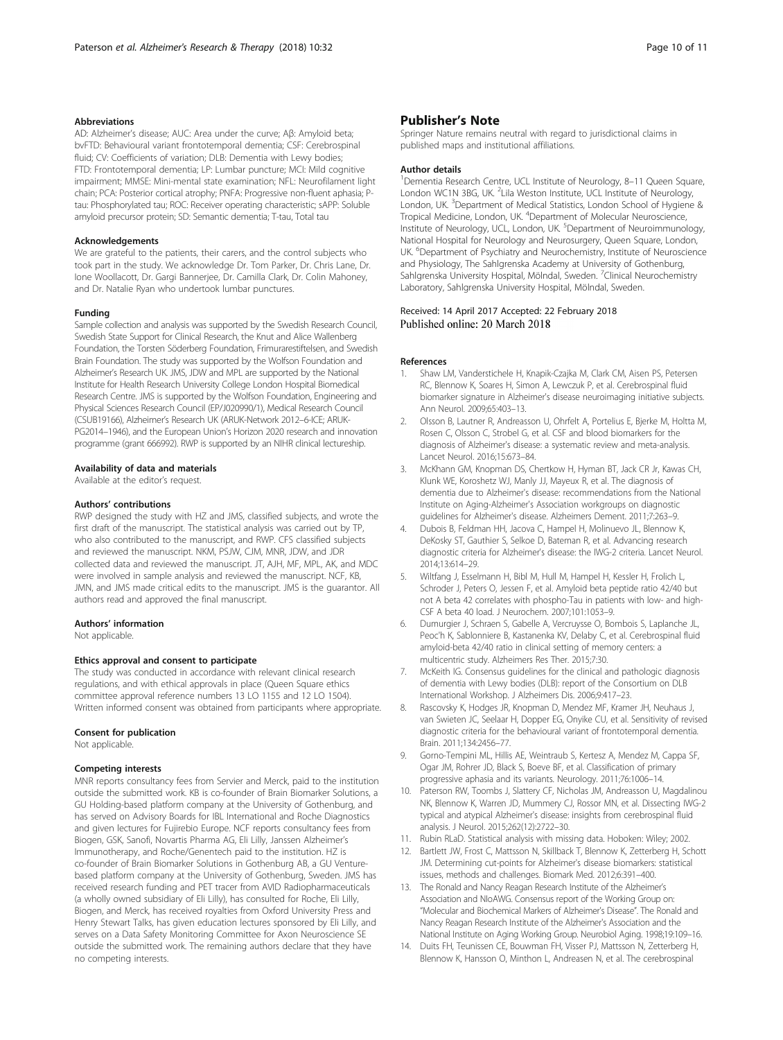# <span id="page-9-0"></span>Abbreviations

AD: Alzheimer's disease; AUC: Area under the curve; Aβ: Amyloid beta; bvFTD: Behavioural variant frontotemporal dementia; CSF: Cerebrospinal fluid; CV: Coefficients of variation; DLB: Dementia with Lewy bodies; FTD: Frontotemporal dementia; LP: Lumbar puncture; MCI: Mild cognitive impairment; MMSE: Mini-mental state examination; NFL: Neurofilament light chain; PCA: Posterior cortical atrophy; PNFA: Progressive non-fluent aphasia; Ptau: Phosphorylated tau; ROC: Receiver operating characteristic; sAPP: Soluble amyloid precursor protein; SD: Semantic dementia; T-tau, Total tau

#### Acknowledgements

We are grateful to the patients, their carers, and the control subjects who took part in the study. We acknowledge Dr. Tom Parker, Dr. Chris Lane, Dr. Ione Woollacott, Dr. Gargi Bannerjee, Dr. Camilla Clark, Dr. Colin Mahoney, and Dr. Natalie Ryan who undertook lumbar punctures.

## Funding

Sample collection and analysis was supported by the Swedish Research Council, Swedish State Support for Clinical Research, the Knut and Alice Wallenberg Foundation, the Torsten Söderberg Foundation, Frimurarestiftelsen, and Swedish Brain Foundation. The study was supported by the Wolfson Foundation and Alzheimer's Research UK. JMS, JDW and MPL are supported by the National Institute for Health Research University College London Hospital Biomedical Research Centre. JMS is supported by the Wolfson Foundation, Engineering and Physical Sciences Research Council (EP/J020990/1), Medical Research Council (CSUB19166), Alzheimer's Research UK (ARUK-Network 2012–6-ICE; ARUK-PG2014–1946), and the European Union's Horizon 2020 research and innovation programme (grant 666992). RWP is supported by an NIHR clinical lectureship.

#### Availability of data and materials

Available at the editor's request.

#### Authors' contributions

RWP designed the study with HZ and JMS, classified subjects, and wrote the first draft of the manuscript. The statistical analysis was carried out by TP, who also contributed to the manuscript, and RWP. CFS classified subjects and reviewed the manuscript. NKM, PSJW, CJM, MNR, JDW, and JDR collected data and reviewed the manuscript. JT, AJH, MF, MPL, AK, and MDC were involved in sample analysis and reviewed the manuscript. NCF, KB, JMN, and JMS made critical edits to the manuscript. JMS is the guarantor. All authors read and approved the final manuscript.

#### Authors' information

Not applicable.

#### Ethics approval and consent to participate

The study was conducted in accordance with relevant clinical research regulations, and with ethical approvals in place (Queen Square ethics committee approval reference numbers 13 LO 1155 and 12 LO 1504). Written informed consent was obtained from participants where appropriate.

# Consent for publication

Not applicable.

#### Competing interests

MNR reports consultancy fees from Servier and Merck, paid to the institution outside the submitted work. KB is co-founder of Brain Biomarker Solutions, a GU Holding-based platform company at the University of Gothenburg, and has served on Advisory Boards for IBL International and Roche Diagnostics and given lectures for Fujirebio Europe. NCF reports consultancy fees from Biogen, GSK, Sanofi, Novartis Pharma AG, Eli Lilly, Janssen Alzheimer's Immunotherapy, and Roche/Genentech paid to the institution. HZ is co-founder of Brain Biomarker Solutions in Gothenburg AB, a GU Venturebased platform company at the University of Gothenburg, Sweden. JMS has received research funding and PET tracer from AVID Radiopharmaceuticals (a wholly owned subsidiary of Eli Lilly), has consulted for Roche, Eli Lilly, Biogen, and Merck, has received royalties from Oxford University Press and Henry Stewart Talks, has given education lectures sponsored by Eli Lilly, and serves on a Data Safety Monitoring Committee for Axon Neuroscience SE outside the submitted work. The remaining authors declare that they have no competing interests.

# Publisher's Note

Springer Nature remains neutral with regard to jurisdictional claims in published maps and institutional affiliations.

#### Author details

<sup>1</sup> Dementia Research Centre, UCL Institute of Neurology, 8-11 Queen Square, London WC1N 3BG, UK. <sup>2</sup>Lila Weston Institute, UCL Institute of Neurology, London, UK. <sup>3</sup>Department of Medical Statistics, London School of Hygiene & Tropical Medicine, London, UK. <sup>4</sup>Department of Molecular Neuroscience, Institute of Neurology, UCL, London, UK.<sup>5</sup> Department of Neuroimmunology National Hospital for Neurology and Neurosurgery, Queen Square, London, UK. <sup>6</sup>Department of Psychiatry and Neurochemistry, Institute of Neuroscience and Physiology, The Sahlgrenska Academy at University of Gothenburg, Sahlgrenska University Hospital, Mölndal, Sweden. <sup>7</sup>Clinical Neurochemistry Laboratory, Sahlgrenska University Hospital, Mölndal, Sweden.

## Received: 14 April 2017 Accepted: 22 February 2018 Published online: 20 March 2018

#### References

- Shaw LM, Vanderstichele H, Knapik-Czajka M, Clark CM, Aisen PS, Petersen RC, Blennow K, Soares H, Simon A, Lewczuk P, et al. Cerebrospinal fluid biomarker signature in Alzheimer's disease neuroimaging initiative subjects. Ann Neurol. 2009;65:403–13.
- 2. Olsson B, Lautner R, Andreasson U, Ohrfelt A, Portelius E, Bjerke M, Holtta M, Rosen C, Olsson C, Strobel G, et al. CSF and blood biomarkers for the diagnosis of Alzheimer's disease: a systematic review and meta-analysis. Lancet Neurol. 2016;15:673–84.
- 3. McKhann GM, Knopman DS, Chertkow H, Hyman BT, Jack CR Jr, Kawas CH, Klunk WE, Koroshetz WJ, Manly JJ, Mayeux R, et al. The diagnosis of dementia due to Alzheimer's disease: recommendations from the National Institute on Aging-Alzheimer's Association workgroups on diagnostic guidelines for Alzheimer's disease. Alzheimers Dement. 2011;7:263–9.
- 4. Dubois B, Feldman HH, Jacova C, Hampel H, Molinuevo JL, Blennow K, DeKosky ST, Gauthier S, Selkoe D, Bateman R, et al. Advancing research diagnostic criteria for Alzheimer's disease: the IWG-2 criteria. Lancet Neurol. 2014;13:614–29.
- 5. Wiltfang J, Esselmann H, Bibl M, Hull M, Hampel H, Kessler H, Frolich L, Schroder J, Peters O, Jessen F, et al. Amyloid beta peptide ratio 42/40 but not A beta 42 correlates with phospho-Tau in patients with low- and high-CSF A beta 40 load. J Neurochem. 2007;101:1053–9.
- 6. Dumurgier J, Schraen S, Gabelle A, Vercruysse O, Bombois S, Laplanche JL, Peoc'h K, Sablonniere B, Kastanenka KV, Delaby C, et al. Cerebrospinal fluid amyloid-beta 42/40 ratio in clinical setting of memory centers: a multicentric study. Alzheimers Res Ther. 2015;7:30.
- 7. McKeith IG. Consensus guidelines for the clinical and pathologic diagnosis of dementia with Lewy bodies (DLB): report of the Consortium on DLB International Workshop. J Alzheimers Dis. 2006;9:417–23.
- 8. Rascovsky K, Hodges JR, Knopman D, Mendez MF, Kramer JH, Neuhaus J, van Swieten JC, Seelaar H, Dopper EG, Onyike CU, et al. Sensitivity of revised diagnostic criteria for the behavioural variant of frontotemporal dementia. Brain. 2011;134:2456–77.
- 9. Gorno-Tempini ML, Hillis AE, Weintraub S, Kertesz A, Mendez M, Cappa SF, Ogar JM, Rohrer JD, Black S, Boeve BF, et al. Classification of primary progressive aphasia and its variants. Neurology. 2011;76:1006–14.
- 10. Paterson RW, Toombs J, Slattery CF, Nicholas JM, Andreasson U, Magdalinou NK, Blennow K, Warren JD, Mummery CJ, Rossor MN, et al. Dissecting IWG-2 typical and atypical Alzheimer's disease: insights from cerebrospinal fluid analysis. J Neurol. 2015;262(12):2722–30.
- 11. Rubin RLaD. Statistical analysis with missing data. Hoboken: Wiley; 2002.
- 12. Bartlett JW, Frost C, Mattsson N, Skillback T, Blennow K, Zetterberg H, Schott JM. Determining cut-points for Alzheimer's disease biomarkers: statistical issues, methods and challenges. Biomark Med. 2012;6:391–400.
- 13. The Ronald and Nancy Reagan Research Institute of the Alzheimer's Association and NIoAWG. Consensus report of the Working Group on: "Molecular and Biochemical Markers of Alzheimer's Disease". The Ronald and Nancy Reagan Research Institute of the Alzheimer's Association and the National Institute on Aging Working Group. Neurobiol Aging. 1998;19:109–16.
- 14. Duits FH, Teunissen CE, Bouwman FH, Visser PJ, Mattsson N, Zetterberg H, Blennow K, Hansson O, Minthon L, Andreasen N, et al. The cerebrospinal